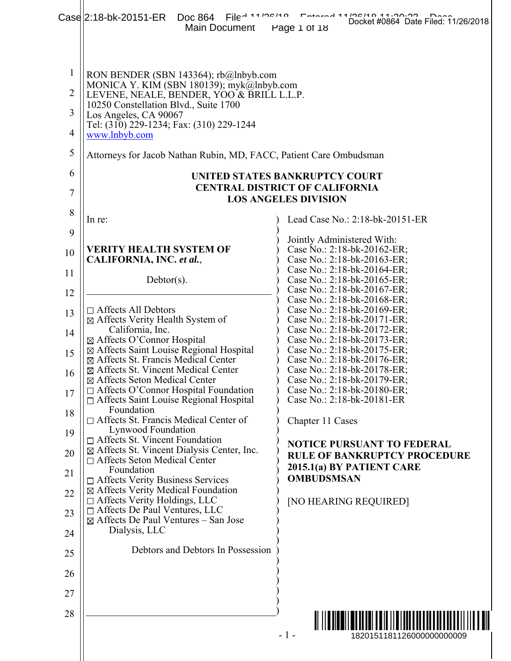|                                                       | Case 2:18-bk-20151-ER<br>Doc 864<br>Main Document                                                                                                                                                                                                              | Elley 11 100110 Lutterey 11 Totis 0 77 0000<br>Docket #0864 Date Filed: 11/26/2018<br>Page 1 of 18 |
|-------------------------------------------------------|----------------------------------------------------------------------------------------------------------------------------------------------------------------------------------------------------------------------------------------------------------------|----------------------------------------------------------------------------------------------------|
| $\mathbf{1}$<br>$\overline{2}$<br>3<br>$\overline{4}$ | RON BENDER (SBN 143364); rb@lnbyb.com<br>MONICA Y. KIM (SBN 180139); myk@lnbyb.com<br>LEVENE, NEALE, BENDER, YOO & BRILL L.L.P.<br>10250 Constellation Blvd., Suite 1700<br>Los Angeles, CA 90067<br>Tel: (310) 229-1234; Fax: (310) 229-1244<br>www.lnbyb.com |                                                                                                    |
| 5                                                     | Attorneys for Jacob Nathan Rubin, MD, FACC, Patient Care Ombudsman                                                                                                                                                                                             |                                                                                                    |
| 6                                                     |                                                                                                                                                                                                                                                                | UNITED STATES BANKRUPTCY COURT                                                                     |
| $\overline{7}$                                        |                                                                                                                                                                                                                                                                | <b>CENTRAL DISTRICT OF CALIFORNIA</b><br><b>LOS ANGELES DIVISION</b>                               |
| 8                                                     | In re:                                                                                                                                                                                                                                                         | Lead Case No.: 2:18-bk-20151-ER                                                                    |
| 9                                                     | <b>VERITY HEALTH SYSTEM OF</b>                                                                                                                                                                                                                                 | Jointly Administered With:<br>Case No.: 2:18-bk-20162-ER;                                          |
| 10<br>11                                              | CALIFORNIA, INC. et al.,                                                                                                                                                                                                                                       | Case No.: 2:18-bk-20163-ER;<br>Case No.: 2:18-bk-20164-ER;                                         |
| 12                                                    | $Dektor(s)$ .                                                                                                                                                                                                                                                  | Case No.: 2:18-bk-20165-ER;<br>Case No.: 2:18-bk-20167-ER;                                         |
| 13                                                    | $\Box$ Affects All Debtors<br>⊠ Affects Verity Health System of                                                                                                                                                                                                | Case No.: 2:18-bk-20168-ER;<br>Case No.: 2:18-bk-20169-ER;<br>Case No.: 2:18-bk-20171-ER;          |
| 14                                                    | California, Inc.<br>⊠ Affects O'Connor Hospital                                                                                                                                                                                                                | Case No.: 2:18-bk-20172-ER;<br>Case No.: 2:18-bk-20173-ER;                                         |
| 15                                                    | ⊠ Affects Saint Louise Regional Hospital<br>⊠ Affects St. Francis Medical Center                                                                                                                                                                               | Case No.: 2:18-bk-20175-ER;<br>Case No.: 2:18-bk-20176-ER;                                         |
| 16                                                    | ⊠ Affects St. Vincent Medical Center<br>⊠ Affects Seton Medical Center                                                                                                                                                                                         | Case No.: 2:18-bk-20178-ER;<br>Case No.: 2:18-bk-20179-ER;                                         |
| 17                                                    | □ Affects O'Connor Hospital Foundation<br>□ Affects Saint Louise Regional Hospital                                                                                                                                                                             | Case No.: 2:18-bk-20180-ER;<br>Case No.: 2:18-bk-20181-ER                                          |
| 18                                                    | Foundation<br>$\Box$ Affects St. Francis Medical Center of                                                                                                                                                                                                     | Chapter 11 Cases                                                                                   |
| 19                                                    | Lynwood Foundation<br>$\Box$ Affects St. Vincent Foundation<br>⊠ Affects St. Vincent Dialysis Center, Inc.                                                                                                                                                     | <b>NOTICE PURSUANT TO FEDERAL</b>                                                                  |
| 20<br>21                                              | $\Box$ Affects Seton Medical Center<br>Foundation                                                                                                                                                                                                              | <b>RULE OF BANKRUPTCY PROCEDURE</b><br>2015.1(a) BY PATIENT CARE                                   |
| 22                                                    | □ Affects Verity Business Services<br>⊠ Affects Verity Medical Foundation                                                                                                                                                                                      | <b>OMBUDSMSAN</b>                                                                                  |
| 23                                                    | $\Box$ Affects Verity Holdings, LLC<br>□ Affects De Paul Ventures, LLC                                                                                                                                                                                         | [NO HEARING REQUIRED]                                                                              |
| 24                                                    | $\boxtimes$ Affects De Paul Ventures – San Jose<br>Dialysis, LLC                                                                                                                                                                                               |                                                                                                    |
| 25                                                    | Debtors and Debtors In Possession                                                                                                                                                                                                                              |                                                                                                    |
| 26                                                    |                                                                                                                                                                                                                                                                |                                                                                                    |
| 27                                                    |                                                                                                                                                                                                                                                                |                                                                                                    |
| 28                                                    |                                                                                                                                                                                                                                                                | <u> Alii ili ili ili ili ili ili ili il</u>                                                        |
|                                                       |                                                                                                                                                                                                                                                                | $-1-$<br>1820151181126000000000009                                                                 |
|                                                       |                                                                                                                                                                                                                                                                |                                                                                                    |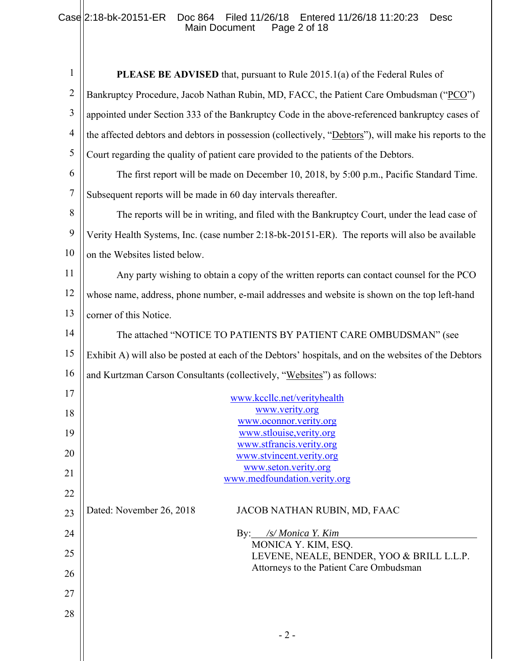## Case 2:18-bk-20151-ER Doc 864 Filed 11/26/18 Entered 11/26/18 11:20:23 Desc Main Document Page 2 of 18

| $\mathbf{1}$   | <b>PLEASE BE ADVISED</b> that, pursuant to Rule 2015.1(a) of the Federal Rules of                      |
|----------------|--------------------------------------------------------------------------------------------------------|
| $\overline{2}$ | Bankruptcy Procedure, Jacob Nathan Rubin, MD, FACC, the Patient Care Ombudsman ("PCO")                 |
| 3              | appointed under Section 333 of the Bankruptcy Code in the above-referenced bankruptcy cases of         |
| $\overline{4}$ | the affected debtors and debtors in possession (collectively, "Debtors"), will make his reports to the |
| 5              | Court regarding the quality of patient care provided to the patients of the Debtors.                   |
| 6              | The first report will be made on December 10, 2018, by 5:00 p.m., Pacific Standard Time.               |
| $\overline{7}$ | Subsequent reports will be made in 60 day intervals thereafter.                                        |
| 8              | The reports will be in writing, and filed with the Bankruptcy Court, under the lead case of            |
| 9              | Verity Health Systems, Inc. (case number 2:18-bk-20151-ER). The reports will also be available         |
| 10             | on the Websites listed below.                                                                          |
| 11             | Any party wishing to obtain a copy of the written reports can contact counsel for the PCO              |
| 12             | whose name, address, phone number, e-mail addresses and website is shown on the top left-hand          |
| 13             | corner of this Notice.                                                                                 |
| 14             | The attached "NOTICE TO PATIENTS BY PATIENT CARE OMBUDSMAN" (see                                       |
| 15             | Exhibit A) will also be posted at each of the Debtors' hospitals, and on the websites of the Debtors   |
| 16             | and Kurtzman Carson Consultants (collectively, "Websites") as follows:                                 |
| 17             | www.kccllc.net/verityhealth                                                                            |
| 18             | www.verity.org                                                                                         |
| 19             | www.oconnor.verity.org<br>www.stlouise, verity.org                                                     |
|                | www.stfrancis.verity.org                                                                               |
| 20             | www.stvincent.verity.org<br>www.seton.verity.org                                                       |
| 21             | www.medfoundation.verity.org                                                                           |
| 22             |                                                                                                        |
| 23             | Dated: November 26, 2018<br>JACOB NATHAN RUBIN, MD, FAAC                                               |
| 24             | By: /s/ Monica Y. Kim                                                                                  |
| 25             | MONICA Y. KIM, ESQ.<br>LEVENE, NEALE, BENDER, YOO & BRILL L.L.P.                                       |
| 26             | Attorneys to the Patient Care Ombudsman                                                                |
| 27             |                                                                                                        |
| 28             |                                                                                                        |
|                |                                                                                                        |
|                | $-2-$                                                                                                  |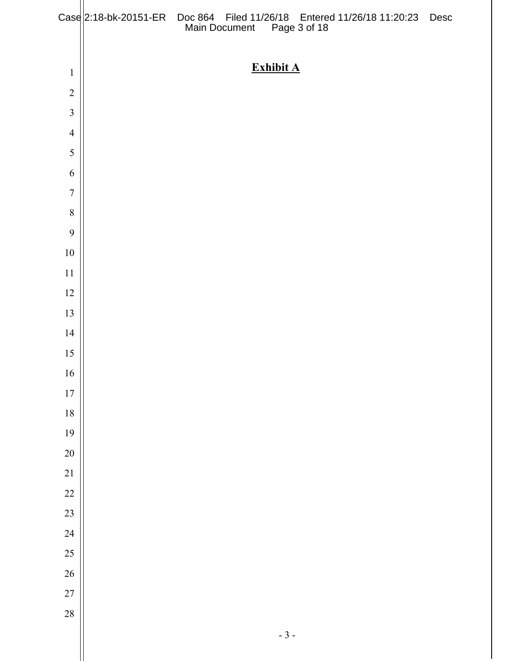|                  | Case 2:18-bk-20151-ER Doc 864 Filed 11/26/18 Entered 11/26/18 11:20:23 Desc<br>Main Document Page 3 of 18 |  |
|------------------|-----------------------------------------------------------------------------------------------------------|--|
|                  | <b>Exhibit A</b>                                                                                          |  |
| $\mathbf{1}$     |                                                                                                           |  |
| $\sqrt{2}$       |                                                                                                           |  |
| $\mathfrak{Z}$   |                                                                                                           |  |
| $\overline{4}$   |                                                                                                           |  |
| 5                |                                                                                                           |  |
| 6                |                                                                                                           |  |
| $\boldsymbol{7}$ |                                                                                                           |  |
| $\, 8$           |                                                                                                           |  |
| $\boldsymbol{9}$ |                                                                                                           |  |
| $10\,$           |                                                                                                           |  |
| 11               |                                                                                                           |  |
| 12               |                                                                                                           |  |
| 13               |                                                                                                           |  |
| 14               |                                                                                                           |  |
| $15\,$           |                                                                                                           |  |
| 16               |                                                                                                           |  |
| $17\,$           |                                                                                                           |  |
| 18               |                                                                                                           |  |
| 19               |                                                                                                           |  |
| $20\,$           |                                                                                                           |  |
| 21               |                                                                                                           |  |
| 22               |                                                                                                           |  |
| 23               |                                                                                                           |  |
| 24               |                                                                                                           |  |
| 25               |                                                                                                           |  |
| $26\text{ }$     |                                                                                                           |  |
| 27               |                                                                                                           |  |
| 28               |                                                                                                           |  |
|                  | $-3-$                                                                                                     |  |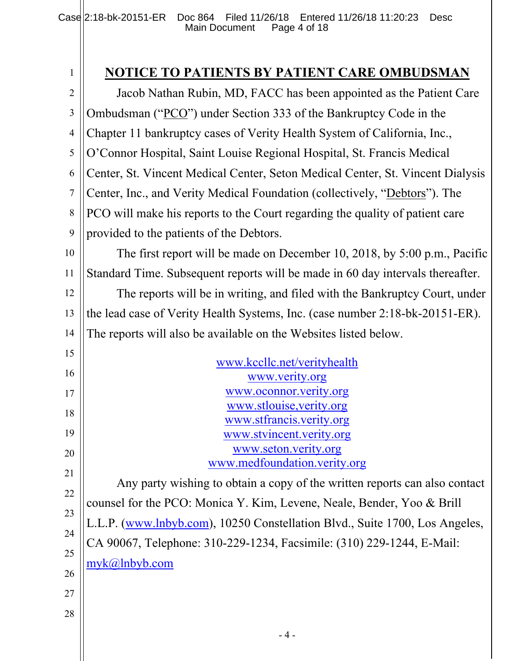1

# **NOTICE TO PATIENTS BY PATIENT CARE OMBUDSMAN**

2 3 4 5 6 7 8 9 Jacob Nathan Rubin, MD, FACC has been appointed as the Patient Care Ombudsman ("PCO") under Section 333 of the Bankruptcy Code in the Chapter 11 bankruptcy cases of Verity Health System of California, Inc., O'Connor Hospital, Saint Louise Regional Hospital, St. Francis Medical Center, St. Vincent Medical Center, Seton Medical Center, St. Vincent Dialysis Center, Inc., and Verity Medical Foundation (collectively, "Debtors"). The PCO will make his reports to the Court regarding the quality of patient care provided to the patients of the Debtors.

10 11 The first report will be made on December 10, 2018, by 5:00 p.m., Pacific Standard Time. Subsequent reports will be made in 60 day intervals thereafter.

12 13 14 The reports will be in writing, and filed with the Bankruptcy Court, under the lead case of Verity Health Systems, Inc. (case number 2:18-bk-20151-ER). The reports will also be available on the Websites listed below.

| 15 | www.kccllc.net/verityhealth                                                 |
|----|-----------------------------------------------------------------------------|
| 16 | www.verity.org                                                              |
| 17 | www.oconnor.verity.org                                                      |
| 18 | www.stlouise, verity.org                                                    |
| 19 | www.stfrancis.verity.org                                                    |
|    | www.stvincent.verity.org                                                    |
| 20 | www.seton.verity.org<br>www.medfoundation.verity.org                        |
| 21 |                                                                             |
| 22 | Any party wishing to obtain a copy of the written reports can also contact  |
|    | counsel for the PCO: Monica Y. Kim, Levene, Neale, Bender, Yoo & Brill      |
| 23 | L.L.P. (www.lnbyb.com), 10250 Constellation Blvd., Suite 1700, Los Angeles, |
| 24 | CA 90067, Telephone: 310-229-1234, Facsimile: (310) 229-1244, E-Mail:       |
| 25 |                                                                             |
| 26 | myk@lnbyb.com                                                               |
| 27 |                                                                             |
|    |                                                                             |
| 28 |                                                                             |
|    | - 4 -                                                                       |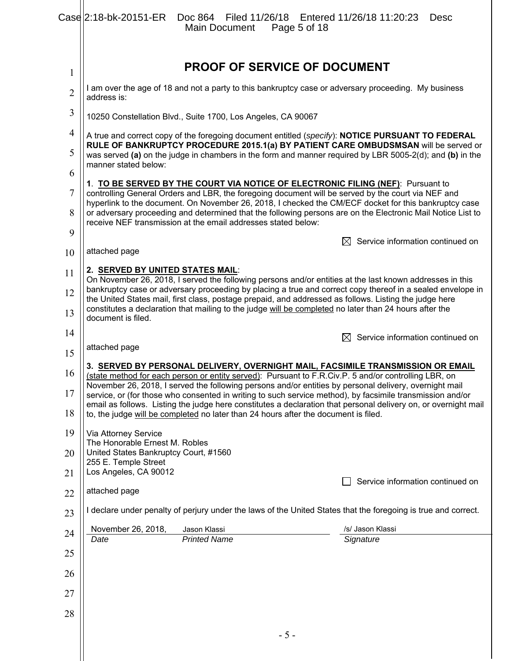|                     | Case 2:18-bk-20151-ER  Doc 864  Filed 11/26/18  Entered 11/26/18  11:20:23<br><b>Desc</b><br>Main Document Page 5 of 18                                                                                                                                                                                                                                                                                                                                                                                                                                                                                                         |  |
|---------------------|---------------------------------------------------------------------------------------------------------------------------------------------------------------------------------------------------------------------------------------------------------------------------------------------------------------------------------------------------------------------------------------------------------------------------------------------------------------------------------------------------------------------------------------------------------------------------------------------------------------------------------|--|
| $\mathbf{1}$        | <b>PROOF OF SERVICE OF DOCUMENT</b>                                                                                                                                                                                                                                                                                                                                                                                                                                                                                                                                                                                             |  |
| $\overline{2}$      | I am over the age of 18 and not a party to this bankruptcy case or adversary proceeding. My business<br>address is:                                                                                                                                                                                                                                                                                                                                                                                                                                                                                                             |  |
| 3                   | 10250 Constellation Blvd., Suite 1700, Los Angeles, CA 90067                                                                                                                                                                                                                                                                                                                                                                                                                                                                                                                                                                    |  |
| 4                   | A true and correct copy of the foregoing document entitled (s <i>pecify</i> ): <b>NOTICE PURSUANT TO FEDERAL</b>                                                                                                                                                                                                                                                                                                                                                                                                                                                                                                                |  |
| 5                   | RULE OF BANKRUPTCY PROCEDURE 2015.1(a) BY PATIENT CARE OMBUDSMSAN will be served or<br>was served (a) on the judge in chambers in the form and manner required by LBR 5005-2(d); and (b) in the<br>manner stated below:                                                                                                                                                                                                                                                                                                                                                                                                         |  |
| 6                   | 1. TO BE SERVED BY THE COURT VIA NOTICE OF ELECTRONIC FILING (NEF): Pursuant to                                                                                                                                                                                                                                                                                                                                                                                                                                                                                                                                                 |  |
| $\overline{7}$<br>8 | controlling General Orders and LBR, the foregoing document will be served by the court via NEF and<br>hyperlink to the document. On November 26, 2018, I checked the CM/ECF docket for this bankruptcy case<br>or adversary proceeding and determined that the following persons are on the Electronic Mail Notice List to                                                                                                                                                                                                                                                                                                      |  |
| 9                   | receive NEF transmission at the email addresses stated below:                                                                                                                                                                                                                                                                                                                                                                                                                                                                                                                                                                   |  |
| 10                  | Service information continued on<br>attached page                                                                                                                                                                                                                                                                                                                                                                                                                                                                                                                                                                               |  |
| 11                  | 2. SERVED BY UNITED STATES MAIL:                                                                                                                                                                                                                                                                                                                                                                                                                                                                                                                                                                                                |  |
| 12                  | On November 26, 2018, I served the following persons and/or entities at the last known addresses in this<br>bankruptcy case or adversary proceeding by placing a true and correct copy thereof in a sealed envelope in                                                                                                                                                                                                                                                                                                                                                                                                          |  |
| 13                  | the United States mail, first class, postage prepaid, and addressed as follows. Listing the judge here<br>constitutes a declaration that mailing to the judge will be completed no later than 24 hours after the<br>document is filed.                                                                                                                                                                                                                                                                                                                                                                                          |  |
| 14                  | $\boxtimes$ Service information continued on                                                                                                                                                                                                                                                                                                                                                                                                                                                                                                                                                                                    |  |
| 15                  | attached page                                                                                                                                                                                                                                                                                                                                                                                                                                                                                                                                                                                                                   |  |
| 16<br>17            | 3. <u>SERVED BY PERSONAL DELIVERY, OVERNIGHT MAIL, FACSIMILE TRANSMISSION OR EMAIL</u><br>(state method for each person or entity served): Pursuant to F.R.Civ.P. 5 and/or controlling LBR, on<br>November 26, 2018, I served the following persons and/or entities by personal delivery, overnight mail<br>service, or (for those who consented in writing to such service method), by facsimile transmission and/or<br>email as follows. Listing the judge here constitutes a declaration that personal delivery on, or overnight mail<br>to, the judge will be completed no later than 24 hours after the document is filed. |  |
| 18                  |                                                                                                                                                                                                                                                                                                                                                                                                                                                                                                                                                                                                                                 |  |
| 19                  | Via Attorney Service                                                                                                                                                                                                                                                                                                                                                                                                                                                                                                                                                                                                            |  |
| 20                  | The Honorable Ernest M. Robles<br>United States Bankruptcy Court, #1560<br>255 E. Temple Street                                                                                                                                                                                                                                                                                                                                                                                                                                                                                                                                 |  |
| 21                  | Los Angeles, CA 90012<br>Service information continued on                                                                                                                                                                                                                                                                                                                                                                                                                                                                                                                                                                       |  |
| 22                  | attached page                                                                                                                                                                                                                                                                                                                                                                                                                                                                                                                                                                                                                   |  |
| 23                  | I declare under penalty of perjury under the laws of the United States that the foregoing is true and correct.                                                                                                                                                                                                                                                                                                                                                                                                                                                                                                                  |  |
| 24                  | /s/ Jason Klassi<br>November 26, 2018,<br>Jason Klassi<br><b>Printed Name</b><br>Signature<br>Date                                                                                                                                                                                                                                                                                                                                                                                                                                                                                                                              |  |
| 25                  |                                                                                                                                                                                                                                                                                                                                                                                                                                                                                                                                                                                                                                 |  |
| 26                  |                                                                                                                                                                                                                                                                                                                                                                                                                                                                                                                                                                                                                                 |  |
| 27                  |                                                                                                                                                                                                                                                                                                                                                                                                                                                                                                                                                                                                                                 |  |
| 28                  |                                                                                                                                                                                                                                                                                                                                                                                                                                                                                                                                                                                                                                 |  |
|                     | $-5-$                                                                                                                                                                                                                                                                                                                                                                                                                                                                                                                                                                                                                           |  |

 $\parallel$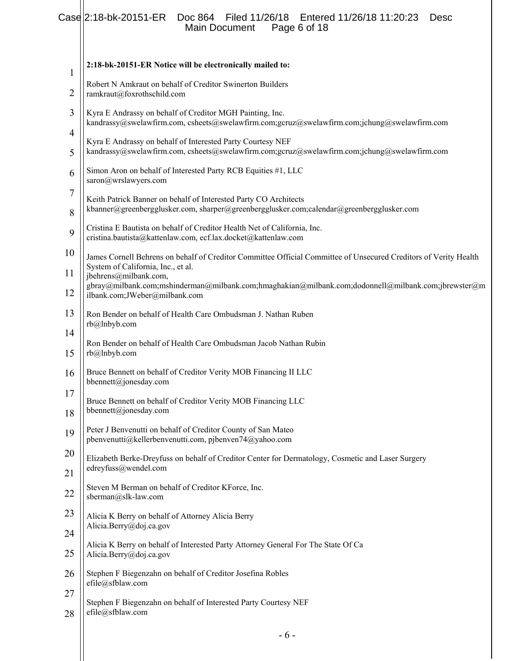## Case 2:18-bk-20151-ER Doc 864 Filed 11/26/18 Entered 11/26/18 11:20:23 Desc Main Document Page 6 of 18

| 1        | 2:18-bk-20151-ER Notice will be electronically mailed to:                                                                                                    |
|----------|--------------------------------------------------------------------------------------------------------------------------------------------------------------|
| 2        | Robert N Amkraut on behalf of Creditor Swinerton Builders<br>ramkraut@foxrothschild.com                                                                      |
| 3        | Kyra E Andrassy on behalf of Creditor MGH Painting, Inc.<br>kandrassy@swelawfirm.com, csheets@swelawfirm.com;gcruz@swelawfirm.com;jchung@swelawfirm.com      |
| 4<br>5   | Kyra E Andrassy on behalf of Interested Party Courtesy NEF<br>kandrassy@swelawfirm.com, csheets@swelawfirm.com;gcruz@swelawfirm.com;jchung@swelawfirm.com    |
| 6        | Simon Aron on behalf of Interested Party RCB Equities #1, LLC<br>saron@wrslawyers.com                                                                        |
| 7        | Keith Patrick Banner on behalf of Interested Party CO Architects<br>kbanner@greenbergglusker.com, sharper@greenbergglusker.com;calendar@greenbergglusker.com |
| 8<br>9   | Cristina E Bautista on behalf of Creditor Health Net of California, Inc.<br>cristina.bautista@kattenlaw.com, ecf.lax.docket@kattenlaw.com                    |
| 10       | James Cornell Behrens on behalf of Creditor Committee Official Committee of Unsecured Creditors of Verity Health<br>System of California, Inc., et al.       |
| 11<br>12 | jbehrens@milbank.com,<br>gbray@milbank.com;mshinderman@milbank.com;hmaghakian@milbank.com;dodonnell@milbank.com;jbrewster@m<br>ilbank.com;JWeber@milbank.com |
| 13       | Ron Bender on behalf of Health Care Ombudsman J. Nathan Ruben<br>rb@lnbyb.com                                                                                |
| 14<br>15 | Ron Bender on behalf of Health Care Ombudsman Jacob Nathan Rubin<br>rb@lnbyb.com                                                                             |
| 16       | Bruce Bennett on behalf of Creditor Verity MOB Financing II LLC<br>bbennett@jonesday.com                                                                     |
| 17<br>18 | Bruce Bennett on behalf of Creditor Verity MOB Financing LLC<br>bbennett@jonesday.com                                                                        |
| 19       | Peter J Benvenutti on behalf of Creditor County of San Mateo<br>pbenvenutti@kellerbenvenutti.com, pjbenven74@yahoo.com                                       |
| 20       | Elizabeth Berke-Dreyfuss on behalf of Creditor Center for Dermatology, Cosmetic and Laser Surgery<br>edreyfuss@wendel.com                                    |
| 21<br>22 | Steven M Berman on behalf of Creditor KForce, Inc.<br>sberman@slk-law.com                                                                                    |
| 23       | Alicia K Berry on behalf of Attorney Alicia Berry<br>Alicia.Berry@doj.ca.gov                                                                                 |
| 24<br>25 | Alicia K Berry on behalf of Interested Party Attorney General For The State Of Ca<br>Alicia.Berry@doj.ca.gov                                                 |
| 26       | Stephen F Biegenzahn on behalf of Creditor Josefina Robles<br>efile@sfblaw.com                                                                               |
| 27<br>28 | Stephen F Biegenzahn on behalf of Interested Party Courtesy NEF<br>efile@sfblaw.com                                                                          |
|          |                                                                                                                                                              |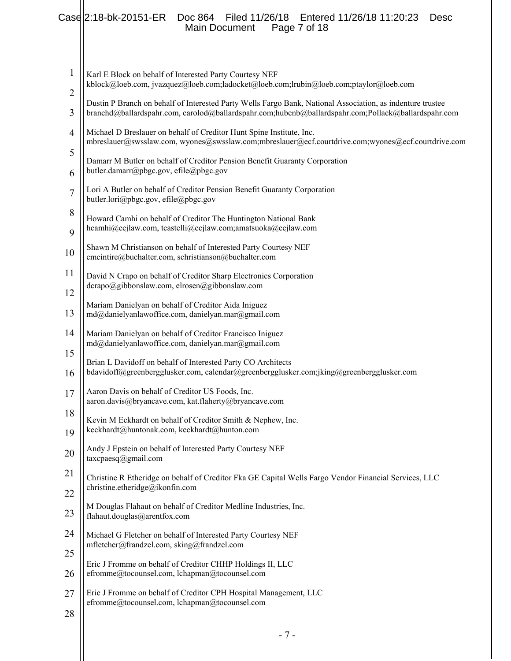## Case 2:18-bk-20151-ER Doc 864 Filed 11/26/18 Entered 11/26/18 11:20:23 Desc Main Document Page 7 of 18

| $\mathbf{1}$        | Karl E Block on behalf of Interested Party Courtesy NEF<br>kblock@loeb.com, jvazquez@loeb.com;ladocket@loeb.com;lrubin@loeb.com;ptaylor@loeb.com                                                                  |  |
|---------------------|-------------------------------------------------------------------------------------------------------------------------------------------------------------------------------------------------------------------|--|
| $\overline{2}$<br>3 | Dustin P Branch on behalf of Interested Party Wells Fargo Bank, National Association, as indenture trustee<br>branchd@ballardspahr.com, carolod@ballardspahr.com;hubenb@ballardspahr.com;Pollack@ballardspahr.com |  |
| 4                   | Michael D Breslauer on behalf of Creditor Hunt Spine Institute, Inc.<br>mbreslauer@swsslaw.com, wyones@swsslaw.com;mbreslauer@ecf.courtdrive.com;wyones@ecf.courtdrive.com                                        |  |
| 5                   | Damarr M Butler on behalf of Creditor Pension Benefit Guaranty Corporation                                                                                                                                        |  |
| 6                   | butler.damarr@pbgc.gov, efile@pbgc.gov                                                                                                                                                                            |  |
| $\tau$              | Lori A Butler on behalf of Creditor Pension Benefit Guaranty Corporation<br>butler.lori@pbgc.gov, efile@pbgc.gov                                                                                                  |  |
| 8<br>9              | Howard Camhi on behalf of Creditor The Huntington National Bank<br>hcamhi@ecjlaw.com, tcastelli@ecjlaw.com;amatsuoka@ecjlaw.com                                                                                   |  |
| 10                  | Shawn M Christianson on behalf of Interested Party Courtesy NEF<br>cmcintire@buchalter.com, schristianson@buchalter.com                                                                                           |  |
| 11<br>12            | David N Crapo on behalf of Creditor Sharp Electronics Corporation<br>dcrapo@gibbonslaw.com, elrosen@gibbonslaw.com                                                                                                |  |
| 13                  | Mariam Danielyan on behalf of Creditor Aida Iniguez<br>md@danielyanlawoffice.com, danielyan.mar@gmail.com                                                                                                         |  |
| 14                  | Mariam Danielyan on behalf of Creditor Francisco Iniguez<br>md@danielyanlawoffice.com, danielyan.mar@gmail.com                                                                                                    |  |
| 15                  | Brian L Davidoff on behalf of Interested Party CO Architects                                                                                                                                                      |  |
| 16                  | bdavidoff@greenbergglusker.com, calendar@greenbergglusker.com;jking@greenbergglusker.com                                                                                                                          |  |
| 17                  | Aaron Davis on behalf of Creditor US Foods, Inc.<br>aaron.davis@bryancave.com, kat.flaherty@bryancave.com                                                                                                         |  |
| 18<br>19            | Kevin M Eckhardt on behalf of Creditor Smith & Nephew, Inc.<br>keckhardt@huntonak.com, keckhardt@hunton.com                                                                                                       |  |
| 20                  | Andy J Epstein on behalf of Interested Party Courtesy NEF<br>taxcpaesq@gmail.com                                                                                                                                  |  |
| 21                  | Christine R Etheridge on behalf of Creditor Fka GE Capital Wells Fargo Vendor Financial Services, LLC                                                                                                             |  |
| 22                  | christine.etheridge@ikonfin.com                                                                                                                                                                                   |  |
| 23                  | M Douglas Flahaut on behalf of Creditor Medline Industries, Inc.<br>flahaut.douglas@arentfox.com                                                                                                                  |  |
| 24                  | Michael G Fletcher on behalf of Interested Party Courtesy NEF<br>mfletcher@frandzel.com, sking@frandzel.com                                                                                                       |  |
| 25<br>26            | Eric J Fromme on behalf of Creditor CHHP Holdings II, LLC<br>efromme@tocounsel.com, lchapman@tocounsel.com                                                                                                        |  |
| 27                  | Eric J Fromme on behalf of Creditor CPH Hospital Management, LLC<br>efromme@tocounsel.com, lchapman@tocounsel.com                                                                                                 |  |
| 28                  |                                                                                                                                                                                                                   |  |
|                     | $-7-$                                                                                                                                                                                                             |  |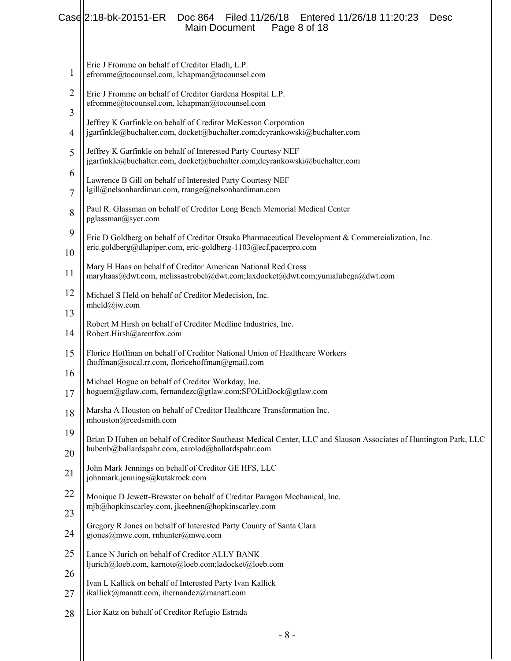## Case 2:18-bk-20151-ER Doc 864 Filed 11/26/18 Entered 11/26/18 11:20:23 Desc Main Document Page 8 of 18

| 1              | Eric J Fromme on behalf of Creditor Eladh, L.P.<br>efromme@tocounsel.com, lchapman@tocounsel.com                                                                     |
|----------------|----------------------------------------------------------------------------------------------------------------------------------------------------------------------|
| $\overline{2}$ | Eric J Fromme on behalf of Creditor Gardena Hospital L.P.<br>efromme@tocounsel.com, lchapman@tocounsel.com                                                           |
| 3<br>4         | Jeffrey K Garfinkle on behalf of Creditor McKesson Corporation<br>jgarfinkle@buchalter.com, docket@buchalter.com;dcyrankowski@buchalter.com                          |
| 5              | Jeffrey K Garfinkle on behalf of Interested Party Courtesy NEF                                                                                                       |
| 6              | jgarfinkle@buchalter.com, docket@buchalter.com;dcyrankowski@buchalter.com<br>Lawrence B Gill on behalf of Interested Party Courtesy NEF                              |
| $\overline{7}$ | lgill@nelsonhardiman.com, rrange@nelsonhardiman.com                                                                                                                  |
| 8              | Paul R. Glassman on behalf of Creditor Long Beach Memorial Medical Center<br>pglassman@sycr.com                                                                      |
| 9              | Eric D Goldberg on behalf of Creditor Otsuka Pharmaceutical Development & Commercialization, Inc.<br>eric.goldberg@dlapiper.com, eric-goldberg-1103@ecf.pacerpro.com |
| 10<br>11       | Mary H Haas on behalf of Creditor American National Red Cross<br>maryhaas@dwt.com, melissastrobel@dwt.com;laxdocket@dwt.com;yunialubega@dwt.com                      |
| 12             | Michael S Held on behalf of Creditor Medecision, Inc.<br>mheld@jw.com                                                                                                |
| 13<br>14       | Robert M Hirsh on behalf of Creditor Medline Industries, Inc.<br>Robert.Hirsh@arentfox.com                                                                           |
| 15             | Florice Hoffman on behalf of Creditor National Union of Healthcare Workers<br>fhoffman@socal.rr.com, floricehoffman@gmail.com                                        |
| 16<br>17       | Michael Hogue on behalf of Creditor Workday, Inc.<br>hoguem@gtlaw.com, fernandezc@gtlaw.com;SFOLitDock@gtlaw.com                                                     |
| 18             | Marsha A Houston on behalf of Creditor Healthcare Transformation Inc.<br>mhouston@reedsmith.com                                                                      |
| 19             | Brian D Huben on behalf of Creditor Southeast Medical Center, LLC and Slauson Associates of Huntington Park, LLC                                                     |
| 20             | hubenb@ballardspahr.com, carolod@ballardspahr.com                                                                                                                    |
| 21             | John Mark Jennings on behalf of Creditor GE HFS, LLC<br>johnmark.jennings@kutakrock.com                                                                              |
| 22             | Monique D Jewett-Brewster on behalf of Creditor Paragon Mechanical, Inc.<br>mjb@hopkinscarley.com, jkeehnen@hopkinscarley.com                                        |
| 23             | Gregory R Jones on behalf of Interested Party County of Santa Clara                                                                                                  |
| 24             | gjones@mwe.com, rnhunter@mwe.com                                                                                                                                     |
| 25             | Lance N Jurich on behalf of Creditor ALLY BANK<br>ljurich@loeb.com, karnote@loeb.com;ladocket@loeb.com                                                               |
| 26<br>27       | Ivan L Kallick on behalf of Interested Party Ivan Kallick<br>ikallick@manatt.com, ihernandez@manatt.com                                                              |
| 28             | Lior Katz on behalf of Creditor Refugio Estrada                                                                                                                      |
|                | $-8-$                                                                                                                                                                |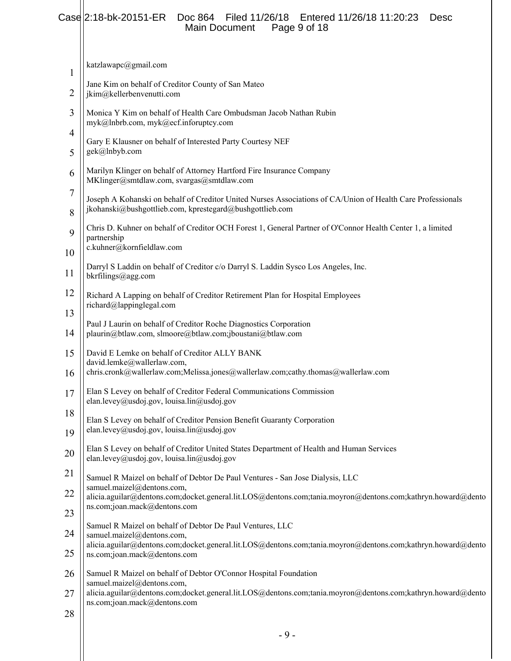## Case 2:18-bk-20151-ER Doc 864 Filed 11/26/18 Entered 11/26/18 11:20:23 Desc Main Document Page 9 of 18

| 1                   | katzlawapc@gmail.com                                                                                                                                                    |  |
|---------------------|-------------------------------------------------------------------------------------------------------------------------------------------------------------------------|--|
| 2                   | Jane Kim on behalf of Creditor County of San Mateo<br>jkim@kellerbenvenutti.com                                                                                         |  |
| 3                   | Monica Y Kim on behalf of Health Care Ombudsman Jacob Nathan Rubin<br>myk@lnbrb.com, myk@ecf.inforuptcy.com                                                             |  |
| 4<br>5              | Gary E Klausner on behalf of Interested Party Courtesy NEF<br>gek@lnbyb.com                                                                                             |  |
| 6                   | Marilyn Klinger on behalf of Attorney Hartford Fire Insurance Company<br>MKlinger@smtdlaw.com, svargas@smtdlaw.com                                                      |  |
| $\overline{7}$<br>8 | Joseph A Kohanski on behalf of Creditor United Nurses Associations of CA/Union of Health Care Professionals<br>jkohanski@bushgottlieb.com, kprestegard@bushgottlieb.com |  |
| 9                   | Chris D. Kuhner on behalf of Creditor OCH Forest 1, General Partner of O'Connor Health Center 1, a limited<br>partnership                                               |  |
| 10                  | c.kuhner@kornfieldlaw.com                                                                                                                                               |  |
| 11                  | Darryl S Laddin on behalf of Creditor c/o Darryl S. Laddin Sysco Los Angeles, Inc.<br>bkrfilings@agg.com                                                                |  |
| 12                  | Richard A Lapping on behalf of Creditor Retirement Plan for Hospital Employees<br>richard@lappinglegal.com                                                              |  |
| 13<br>14            | Paul J Laurin on behalf of Creditor Roche Diagnostics Corporation<br>plaurin@btlaw.com, slmoore@btlaw.com;jboustani@btlaw.com                                           |  |
| 15                  | David E Lemke on behalf of Creditor ALLY BANK                                                                                                                           |  |
| 16                  | david.lemke@wallerlaw.com,<br>chris.cronk@wallerlaw.com;Melissa.jones@wallerlaw.com;cathy.thomas@wallerlaw.com                                                          |  |
| 17                  | Elan S Levey on behalf of Creditor Federal Communications Commission<br>elan.levey@usdoj.gov, louisa.lin@usdoj.gov                                                      |  |
| 18<br>19            | Elan S Levey on behalf of Creditor Pension Benefit Guaranty Corporation<br>elan.levey@usdoj.gov, louisa.lin@usdoj.gov                                                   |  |
| 20                  | Elan S Levey on behalf of Creditor United States Department of Health and Human Services<br>elan.levey@usdoj.gov, louisa.lin@usdoj.gov                                  |  |
| 21                  | Samuel R Maizel on behalf of Debtor De Paul Ventures - San Jose Dialysis, LLC                                                                                           |  |
| 22                  | samuel.maizel@dentons.com,<br>alicia.aguilar@dentons.com;docket.general.lit.LOS@dentons.com;tania.moyron@dentons.com;kathryn.howard@dento                               |  |
| 23                  | ns.com;joan.mack@dentons.com                                                                                                                                            |  |
| 24                  | Samuel R Maizel on behalf of Debtor De Paul Ventures, LLC<br>samuel.maizel@dentons.com,                                                                                 |  |
| 25                  | alicia.aguilar@dentons.com;docket.general.lit.LOS@dentons.com;tania.moyron@dentons.com;kathryn.howard@dento<br>ns.com;joan.mack@dentons.com                             |  |
| 26                  | Samuel R Maizel on behalf of Debtor O'Connor Hospital Foundation<br>samuel.maizel@dentons.com,                                                                          |  |
| 27                  | alicia.aguilar@dentons.com;docket.general.lit.LOS@dentons.com;tania.moyron@dentons.com;kathryn.howard@dento<br>ns.com;joan.mack@dentons.com                             |  |
| 28                  |                                                                                                                                                                         |  |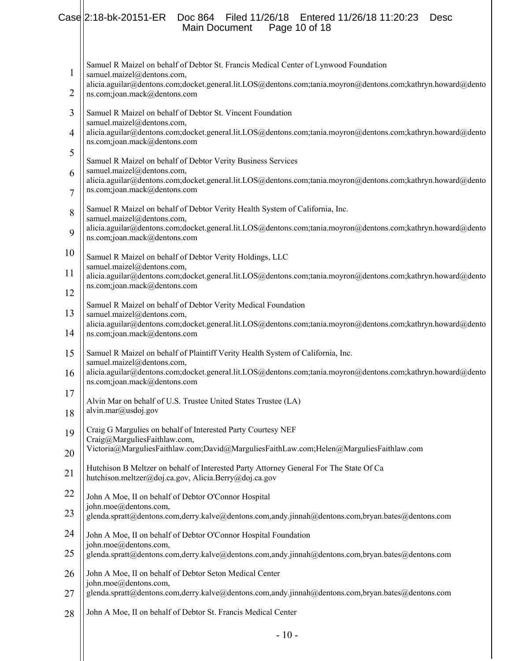#### Case 2:18-bk-20151-ER Doc 864 Filed 11/26/18 Entered 11/26/18 11:20:23 Desc Main Document Page 10 of 18 L

| $\mathbf{1}$        | Samuel R Maizel on behalf of Debtor St. Francis Medical Center of Lynwood Foundation<br>samuel.maizel@dentons.com,                                                        |
|---------------------|---------------------------------------------------------------------------------------------------------------------------------------------------------------------------|
| $\overline{2}$      | alicia.aguilar@dentons.com;docket.general.lit.LOS@dentons.com;tania.moyron@dentons.com;kathryn.howard@dento<br>ns.com;joan.mack@dentons.com                               |
| 3                   | Samuel R Maizel on behalf of Debtor St. Vincent Foundation<br>samuel.maizel@dentons.com,                                                                                  |
| $\overline{4}$      | alicia.aguilar@dentons.com;docket.general.lit.LOS@dentons.com;tania.moyron@dentons.com;kathryn.howard@dento<br>ns.com;joan.mack@dentons.com                               |
| 5                   | Samuel R Maizel on behalf of Debtor Verity Business Services                                                                                                              |
| 6<br>$\overline{7}$ | samuel.maizel@dentons.com,<br>alicia.aguilar@dentons.com;docket.general.lit.LOS@dentons.com;tania.moyron@dentons.com;kathryn.howard@dento<br>ns.com;joan.mack@dentons.com |
| 8                   | Samuel R Maizel on behalf of Debtor Verity Health System of California, Inc.<br>samuel.maizel@dentons.com,                                                                |
| 9                   | alicia.aguilar@dentons.com;docket.general.lit.LOS@dentons.com;tania.moyron@dentons.com;kathryn.howard@dento<br>ns.com;joan.mack@dentons.com                               |
| 10                  | Samuel R Maizel on behalf of Debtor Verity Holdings, LLC<br>samuel.maizel@dentons.com,                                                                                    |
| 11                  | alicia.aguilar@dentons.com;docket.general.lit.LOS@dentons.com;tania.moyron@dentons.com;kathryn.howard@dento<br>ns.com;joan.mack@dentons.com                               |
| 12<br>13            | Samuel R Maizel on behalf of Debtor Verity Medical Foundation                                                                                                             |
| 14                  | samuel.maizel@dentons.com,<br>alicia.aguilar@dentons.com;docket.general.lit.LOS@dentons.com;tania.moyron@dentons.com;kathryn.howard@dento<br>ns.com;joan.mack@dentons.com |
| 15                  | Samuel R Maizel on behalf of Plaintiff Verity Health System of California, Inc.                                                                                           |
| 16                  | samuel.maizel@dentons.com,<br>alicia.aguilar@dentons.com;docket.general.lit.LOS@dentons.com;tania.moyron@dentons.com;kathryn.howard@dento<br>ns.com;joan.mack@dentons.com |
| 17                  | Alvin Mar on behalf of U.S. Trustee United States Trustee (LA)                                                                                                            |
| 18                  | alvin.mar@usdoj.gov                                                                                                                                                       |
| 19                  | Craig G Margulies on behalf of Interested Party Courtesy NEF<br>Craig@MarguliesFaithlaw.com,                                                                              |
| 20                  | Victoria@MarguliesFaithlaw.com;David@MarguliesFaithLaw.com;Helen@MarguliesFaithlaw.com                                                                                    |
| 21                  | Hutchison B Meltzer on behalf of Interested Party Attorney General For The State Of Ca<br>hutchison.meltzer@doj.ca.gov, Alicia.Berry@doj.ca.gov                           |
| 22                  | John A Moe, II on behalf of Debtor O'Connor Hospital<br>john.moe@dentons.com,                                                                                             |
| 23                  | glenda.spratt@dentons.com,derry.kalve@dentons.com,andy.jinnah@dentons.com,bryan.bates@dentons.com                                                                         |
| 24                  | John A Moe, II on behalf of Debtor O'Connor Hospital Foundation<br>john.moe@dentons.com,                                                                                  |
| 25                  | glenda.spratt@dentons.com,derry.kalve@dentons.com,andy.jinnah@dentons.com,bryan.bates@dentons.com                                                                         |
| 26                  | John A Moe, II on behalf of Debtor Seton Medical Center<br>john.moe@dentons.com,                                                                                          |
| 27                  | glenda.spratt@dentons.com,derry.kalve@dentons.com,andy.jinnah@dentons.com,bryan.bates@dentons.com                                                                         |
| 28                  | John A Moe, II on behalf of Debtor St. Francis Medical Center                                                                                                             |
|                     | $-10-$                                                                                                                                                                    |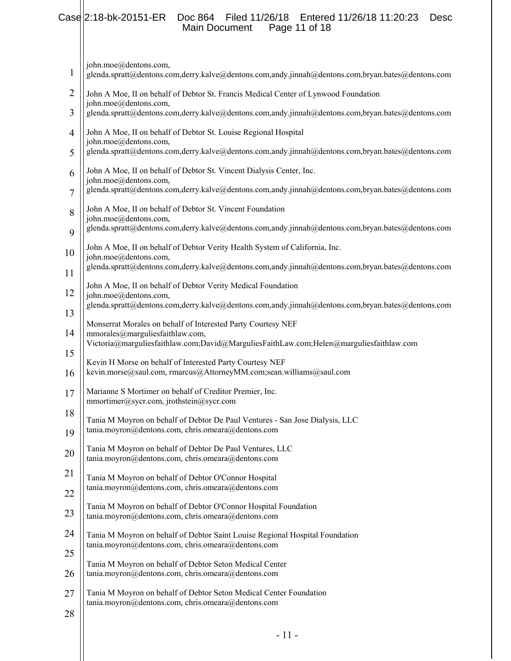#### Case 2:18-bk-20151-ER Doc 864 Filed 11/26/18 Entered 11/26/18 11:20:23 Desc<br>Main Document Page 11 of 18 Main Document

john.moe@dentons.com,

- 1 glenda.spratt@dentons.com,derry.kalve@dentons.com,andy.jinnah@dentons.com,bryan.bates@dentons.com
- 2 John A Moe, II on behalf of Debtor St. Francis Medical Center of Lynwood Foundation john.moe@dentons.com,
- 3 glenda.spratt@dentons.com,derry.kalve@dentons.com,andy.jinnah@dentons.com,bryan.bates@dentons.com
- 4 John A Moe, II on behalf of Debtor St. Louise Regional Hospital john.moe@dentons.com,
- 5 glenda.spratt@dentons.com,derry.kalve@dentons.com,andy.jinnah@dentons.com,bryan.bates@dentons.com
- 6 John A Moe, II on behalf of Debtor St. Vincent Dialysis Center, Inc. john.moe@dentons.com,
- 7 glenda.spratt@dentons.com,derry.kalve@dentons.com,andy.jinnah@dentons.com,bryan.bates@dentons.com
- 8 John A Moe, II on behalf of Debtor St. Vincent Foundation john.moe@dentons.com,
- 9 glenda.spratt@dentons.com,derry.kalve@dentons.com,andy.jinnah@dentons.com,bryan.bates@dentons.com
- 10 John A Moe, II on behalf of Debtor Verity Health System of California, Inc.
- 11 john.moe@dentons.com, glenda.spratt@dentons.com,derry.kalve@dentons.com,andy.jinnah@dentons.com,bryan.bates@dentons.com
- 12 John A Moe, II on behalf of Debtor Verity Medical Foundation john.moe@dentons.com,
- 13 glenda.spratt@dentons.com,derry.kalve@dentons.com,andy.jinnah@dentons.com,bryan.bates@dentons.com
- Monserrat Morales on behalf of Interested Party Courtesy NEF
- 14 15 mmorales@marguliesfaithlaw.com, Victoria@marguliesfaithlaw.com;David@MarguliesFaithLaw.com;Helen@marguliesfaithlaw.com

Kevin H Morse on behalf of Interested Party Courtesy NEF

- 16 kevin.morse@saul.com, rmarcus@AttorneyMM.com;sean.williams@saul.com
- 17 Marianne S Mortimer on behalf of Creditor Premier, Inc. mmortimer@sycr.com, jrothstein@sycr.com
- 18 19 Tania M Moyron on behalf of Debtor De Paul Ventures - San Jose Dialysis, LLC tania.moyron@dentons.com, chris.omeara@dentons.com
- 20 Tania M Moyron on behalf of Debtor De Paul Ventures, LLC tania.moyron@dentons.com, chris.omeara@dentons.com
- 21 22 Tania M Moyron on behalf of Debtor O'Connor Hospital tania.moyron@dentons.com, chris.omeara@dentons.com
- Tania M Moyron on behalf of Debtor O'Connor Hospital Foundation
- 23 tania.moyron@dentons.com, chris.omeara@dentons.com
- 24 25 Tania M Moyron on behalf of Debtor Saint Louise Regional Hospital Foundation tania.moyron@dentons.com, chris.omeara@dentons.com
- 26 Tania M Moyron on behalf of Debtor Seton Medical Center tania.moyron@dentons.com, chris.omeara@dentons.com
- 27 Tania M Moyron on behalf of Debtor Seton Medical Center Foundation tania.moyron@dentons.com, chris.omeara@dentons.com
- 28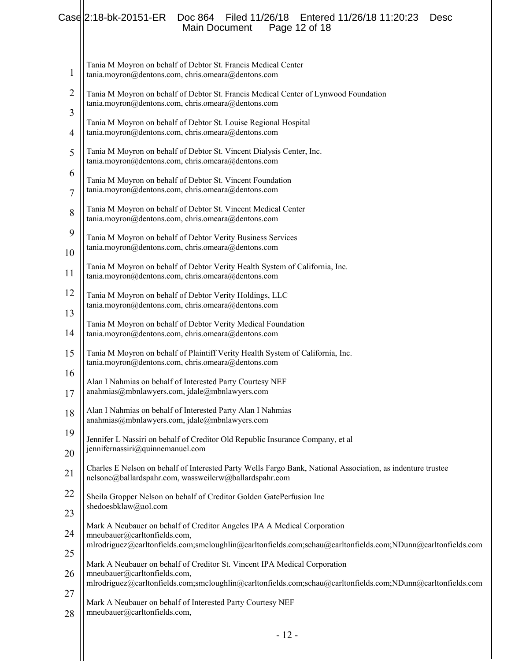## Case 2:18-bk-20151-ER Doc 864 Filed 11/26/18 Entered 11/26/18 11:20:23 Desc Main Document Page 12 of 18

L

| $\mathbf{1}$ | Tania M Moyron on behalf of Debtor St. Francis Medical Center<br>tania.moyron@dentons.com, chris.omeara@dentons.com                                                                      |
|--------------|------------------------------------------------------------------------------------------------------------------------------------------------------------------------------------------|
| 2            | Tania M Moyron on behalf of Debtor St. Francis Medical Center of Lynwood Foundation<br>tania.moyron@dentons.com, chris.omeara@dentons.com                                                |
| 3<br>4       | Tania M Moyron on behalf of Debtor St. Louise Regional Hospital<br>tania.moyron@dentons.com, chris.omeara@dentons.com                                                                    |
| 5            | Tania M Moyron on behalf of Debtor St. Vincent Dialysis Center, Inc.<br>tania.moyron@dentons.com, chris.omeara@dentons.com                                                               |
| 6<br>7       | Tania M Moyron on behalf of Debtor St. Vincent Foundation<br>tania.moyron@dentons.com, chris.omeara@dentons.com                                                                          |
| 8            | Tania M Moyron on behalf of Debtor St. Vincent Medical Center<br>tania.moyron@dentons.com, chris.omeara@dentons.com                                                                      |
| 9            | Tania M Moyron on behalf of Debtor Verity Business Services<br>tania.moyron@dentons.com, chris.omeara@dentons.com                                                                        |
| 10<br>11     | Tania M Moyron on behalf of Debtor Verity Health System of California, Inc.<br>tania.moyron@dentons.com, chris.omeara@dentons.com                                                        |
| 12           | Tania M Moyron on behalf of Debtor Verity Holdings, LLC<br>tania.moyron@dentons.com, chris.omeara@dentons.com                                                                            |
| 13<br>14     | Tania M Moyron on behalf of Debtor Verity Medical Foundation<br>tania.moyron@dentons.com, chris.omeara@dentons.com                                                                       |
| 15           | Tania M Moyron on behalf of Plaintiff Verity Health System of California, Inc.<br>tania.moyron@dentons.com, chris.omeara@dentons.com                                                     |
| 16<br>17     | Alan I Nahmias on behalf of Interested Party Courtesy NEF<br>anahmias@mbnlawyers.com, jdale@mbnlawyers.com                                                                               |
| 18           | Alan I Nahmias on behalf of Interested Party Alan I Nahmias<br>anahmias@mbnlawyers.com, jdale@mbnlawyers.com                                                                             |
| 19<br>20     | Jennifer L Nassiri on behalf of Creditor Old Republic Insurance Company, et al<br>jennifernassiri@quinnemanuel.com                                                                       |
| 21           | Charles E Nelson on behalf of Interested Party Wells Fargo Bank, National Association, as indenture trustee<br>nelsonc@ballardspahr.com, wassweilerw@ballardspahr.com                    |
| 22           | Sheila Gropper Nelson on behalf of Creditor Golden GatePerfusion Inc<br>shedoesbklaw@aol.com                                                                                             |
| 23<br>24     | Mark A Neubauer on behalf of Creditor Angeles IPA A Medical Corporation<br>mneubauer@carltonfields.com,                                                                                  |
| 25           | mlrodriguez@carltonfields.com;smcloughlin@carltonfields.com;schau@carltonfields.com;NDunn@carltonfields.com<br>Mark A Neubauer on behalf of Creditor St. Vincent IPA Medical Corporation |
| 26           | mneubauer@carltonfields.com,<br>mlrodriguez@carltonfields.com;smcloughlin@carltonfields.com;schau@carltonfields.com;NDunn@carltonfields.com                                              |
| 27<br>28     | Mark A Neubauer on behalf of Interested Party Courtesy NEF<br>mneubauer@carltonfields.com,                                                                                               |
|              |                                                                                                                                                                                          |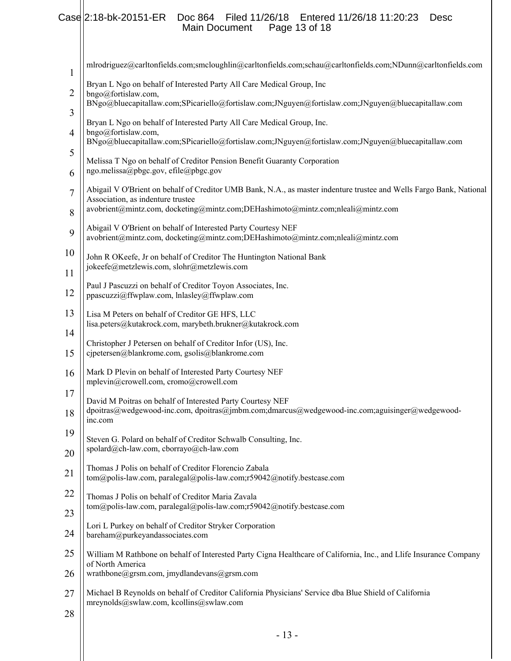## Case 2:18-bk-20151-ER Doc 864 Filed 11/26/18 Entered 11/26/18 11:20:23 Desc Main Document Page 13 of 18

| 1        | mlrodriguez@carltonfields.com;smcloughlin@carltonfields.com;schau@carltonfields.com;NDunn@carltonfields.com                                                                                                                                 |
|----------|---------------------------------------------------------------------------------------------------------------------------------------------------------------------------------------------------------------------------------------------|
| 2        | Bryan L Ngo on behalf of Interested Party All Care Medical Group, Inc<br>bngo@fortislaw.com,<br>BNgo@bluecapitallaw.com;SPicariello@fortislaw.com;JNguyen@fortislaw.com;JNguyen@bluecapitallaw.com                                          |
| 3<br>4   | Bryan L Ngo on behalf of Interested Party All Care Medical Group, Inc.<br>bngo@fortislaw.com,                                                                                                                                               |
| 5        | BNgo@bluecapitallaw.com;SPicariello@fortislaw.com;JNguyen@fortislaw.com;JNguyen@bluecapitallaw.com                                                                                                                                          |
| 6        | Melissa T Ngo on behalf of Creditor Pension Benefit Guaranty Corporation<br>ngo.melissa@pbgc.gov, efile@pbgc.gov                                                                                                                            |
| 7<br>8   | Abigail V O'Brient on behalf of Creditor UMB Bank, N.A., as master indenture trustee and Wells Fargo Bank, National<br>Association, as indenture trustee<br>avobrient@mintz.com, docketing@mintz.com;DEHashimoto@mintz.com;nleali@mintz.com |
| 9        | Abigail V O'Brient on behalf of Interested Party Courtesy NEF<br>avobrient@mintz.com, docketing@mintz.com;DEHashimoto@mintz.com;nleali@mintz.com                                                                                            |
| 10<br>11 | John R OKeefe, Jr on behalf of Creditor The Huntington National Bank<br>jokeefe@metzlewis.com, slohr@metzlewis.com                                                                                                                          |
| 12       | Paul J Pascuzzi on behalf of Creditor Toyon Associates, Inc.<br>ppascuzzi@ffwplaw.com, lnlasley@ffwplaw.com                                                                                                                                 |
| 13       | Lisa M Peters on behalf of Creditor GE HFS, LLC<br>lisa.peters@kutakrock.com, marybeth.brukner@kutakrock.com                                                                                                                                |
| 14<br>15 | Christopher J Petersen on behalf of Creditor Infor (US), Inc.<br>cjpetersen@blankrome.com, gsolis@blankrome.com                                                                                                                             |
| 16       | Mark D Plevin on behalf of Interested Party Courtesy NEF<br>mplevin@crowell.com, cromo@crowell.com                                                                                                                                          |
| 17<br>18 | David M Poitras on behalf of Interested Party Courtesy NEF<br>dpoitras@wedgewood-inc.com, dpoitras@jmbm.com;dmarcus@wedgewood-inc.com;aguisinger@wedgewood-<br>inc.com                                                                      |
| 19       | Steven G. Polard on behalf of Creditor Schwalb Consulting, Inc.                                                                                                                                                                             |
| 20       | spolard@ch-law.com, cborrayo@ch-law.com                                                                                                                                                                                                     |
| 21       | Thomas J Polis on behalf of Creditor Florencio Zabala<br>tom@polis-law.com, paralegal@polis-law.com;r59042@notify.bestcase.com                                                                                                              |
| 22       | Thomas J Polis on behalf of Creditor Maria Zavala<br>tom@polis-law.com, paralegal@polis-law.com;r59042@notify.bestcase.com                                                                                                                  |
| 23<br>24 | Lori L Purkey on behalf of Creditor Stryker Corporation<br>bareham@purkeyandassociates.com                                                                                                                                                  |
| 25       | William M Rathbone on behalf of Interested Party Cigna Healthcare of California, Inc., and Llife Insurance Company                                                                                                                          |
| 26       | of North America<br>wrathbone@grsm.com, jmydlandevans@grsm.com                                                                                                                                                                              |
| 27       | Michael B Reynolds on behalf of Creditor California Physicians' Service dba Blue Shield of California<br>mreynolds@swlaw.com, kcollins@swlaw.com                                                                                            |
| 28       | $-13-$                                                                                                                                                                                                                                      |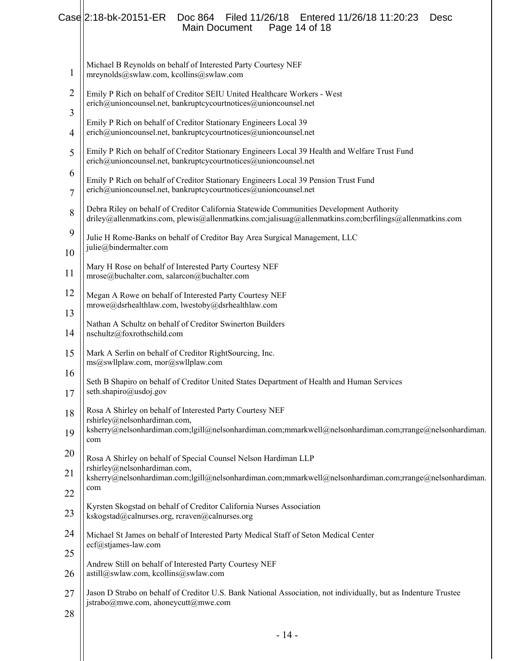## Case 2:18-bk-20151-ER Doc 864 Filed 11/26/18 Entered 11/26/18 11:20:23 Desc Main Document Page 14 of 18

| 1              | Michael B Reynolds on behalf of Interested Party Courtesy NEF<br>mreynolds@swlaw.com, kcollins@swlaw.com                                                                                             |  |  |  |
|----------------|------------------------------------------------------------------------------------------------------------------------------------------------------------------------------------------------------|--|--|--|
| 2<br>3         | Emily P Rich on behalf of Creditor SEIU United Healthcare Workers - West<br>erich@unioncounsel.net, bankruptcycourtnotices@unioncounsel.net                                                          |  |  |  |
| $\overline{4}$ | Emily P Rich on behalf of Creditor Stationary Engineers Local 39<br>erich@unioncounsel.net, bankruptcycourtnotices@unioncounsel.net                                                                  |  |  |  |
| 5              | Emily P Rich on behalf of Creditor Stationary Engineers Local 39 Health and Welfare Trust Fund<br>erich@unioncounsel.net, bankruptcycourtnotices@unioncounsel.net                                    |  |  |  |
| 6<br>7         | Emily P Rich on behalf of Creditor Stationary Engineers Local 39 Pension Trust Fund<br>erich@unioncounsel.net, bankruptcycourtnotices@unioncounsel.net                                               |  |  |  |
| 8              | Debra Riley on behalf of Creditor California Statewide Communities Development Authority<br>driley@allenmatkins.com, plewis@allenmatkins.com;jalisuag@allenmatkins.com;bcrfilings@allenmatkins.com   |  |  |  |
| 9              | Julie H Rome-Banks on behalf of Creditor Bay Area Surgical Management, LLC<br>julie@bindermalter.com                                                                                                 |  |  |  |
| 10<br>11       | Mary H Rose on behalf of Interested Party Courtesy NEF<br>mrose@buchalter.com, salarcon@buchalter.com                                                                                                |  |  |  |
| 12             | Megan A Rowe on behalf of Interested Party Courtesy NEF                                                                                                                                              |  |  |  |
| 13             | mrowe@dsrhealthlaw.com, lwestoby@dsrhealthlaw.com<br>Nathan A Schultz on behalf of Creditor Swinerton Builders                                                                                       |  |  |  |
| 14<br>15       | nschultz@foxrothschild.com<br>Mark A Serlin on behalf of Creditor RightSourcing, Inc.                                                                                                                |  |  |  |
| 16             | ms@swllplaw.com, mor@swllplaw.com<br>Seth B Shapiro on behalf of Creditor United States Department of Health and Human Services                                                                      |  |  |  |
| 17             | seth.shapiro@usdoj.gov                                                                                                                                                                               |  |  |  |
| 18<br>19       | Rosa A Shirley on behalf of Interested Party Courtesy NEF<br>rshirley@nelsonhardiman.com,<br>ksherry@nelsonhardiman.com;lgill@nelsonhardiman.com;mmarkwell@nelsonhardiman.com;rrange@nelsonhardiman. |  |  |  |
| 20             | com<br>Rosa A Shirley on behalf of Special Counsel Nelson Hardiman LLP                                                                                                                               |  |  |  |
| 21             | rshirley@nelsonhardiman.com,<br>ksherry@nelsonhardiman.com;lgill@nelsonhardiman.com;mmarkwell@nelsonhardiman.com;rrange@nelsonhardiman.<br>com                                                       |  |  |  |
| 22<br>23       | Kyrsten Skogstad on behalf of Creditor California Nurses Association<br>kskogstad@calnurses.org, rcraven@calnurses.org                                                                               |  |  |  |
| 24             | Michael St James on behalf of Interested Party Medical Staff of Seton Medical Center<br>ecf@stjames-law.com                                                                                          |  |  |  |
| 25             | Andrew Still on behalf of Interested Party Courtesy NEF                                                                                                                                              |  |  |  |
| 26<br>27       | astill@swlaw.com, kcollins@swlaw.com<br>Jason D Strabo on behalf of Creditor U.S. Bank National Association, not individually, but as Indenture Trustee                                              |  |  |  |
| 28             | jstrabo@mwe.com, ahoneycutt@mwe.com                                                                                                                                                                  |  |  |  |
|                |                                                                                                                                                                                                      |  |  |  |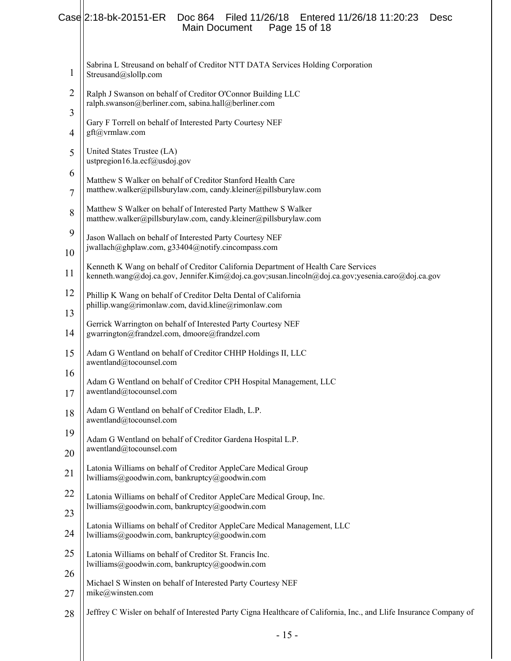## Case 2:18-bk-20151-ER Doc 864 Filed 11/26/18 Entered 11/26/18 11:20:23 Desc Main Document Page 15 of 18

| 1              | Sabrina L Streusand on behalf of Creditor NTT DATA Services Holding Corporation<br>Streusand@slollp.com                                                                                            |  |  |  |
|----------------|----------------------------------------------------------------------------------------------------------------------------------------------------------------------------------------------------|--|--|--|
| $\overline{2}$ | Ralph J Swanson on behalf of Creditor O'Connor Building LLC<br>ralph.swanson@berliner.com, sabina.hall@berliner.com<br>Gary F Torrell on behalf of Interested Party Courtesy NEF<br>gft@vrmlaw.com |  |  |  |
| 3<br>4         |                                                                                                                                                                                                    |  |  |  |
| 5              | United States Trustee (LA)<br>ustpregion16.la.ecf@usdoj.gov                                                                                                                                        |  |  |  |
| 6<br>7         | Matthew S Walker on behalf of Creditor Stanford Health Care<br>matthew.walker@pillsburylaw.com, candy.kleiner@pillsburylaw.com                                                                     |  |  |  |
| 8              | Matthew S Walker on behalf of Interested Party Matthew S Walker<br>matthew.walker@pillsburylaw.com, candy.kleiner@pillsburylaw.com                                                                 |  |  |  |
| 9<br>10        | Jason Wallach on behalf of Interested Party Courtesy NEF<br>jwallach@ghplaw.com, g33404@notify.cincompass.com                                                                                      |  |  |  |
| 11             | Kenneth K Wang on behalf of Creditor California Department of Health Care Services<br>kenneth.wang@doj.ca.gov, Jennifer.Kim@doj.ca.gov;susan.lincoln@doj.ca.gov;yesenia.caro@doj.ca.gov            |  |  |  |
| 12             | Phillip K Wang on behalf of Creditor Delta Dental of California<br>phillip.wang@rimonlaw.com, david.kline@rimonlaw.com                                                                             |  |  |  |
| 13<br>14       | Gerrick Warrington on behalf of Interested Party Courtesy NEF<br>gwarrington@frandzel.com, dmoore@frandzel.com                                                                                     |  |  |  |
| 15             | Adam G Wentland on behalf of Creditor CHHP Holdings II, LLC<br>awentland@tocounsel.com                                                                                                             |  |  |  |
| 16<br>17       | Adam G Wentland on behalf of Creditor CPH Hospital Management, LLC<br>awentland@tocounsel.com                                                                                                      |  |  |  |
| 18             | Adam G Wentland on behalf of Creditor Eladh, L.P.<br>awentland@tocounsel.com                                                                                                                       |  |  |  |
| 19<br>20       | Adam G Wentland on behalf of Creditor Gardena Hospital L.P.<br>awentland@tocounsel.com                                                                                                             |  |  |  |
| 21             | Latonia Williams on behalf of Creditor AppleCare Medical Group<br>lwilliams@goodwin.com, bankruptcy@goodwin.com                                                                                    |  |  |  |
| 22             | Latonia Williams on behalf of Creditor AppleCare Medical Group, Inc.<br>lwilliams@goodwin.com, bankruptcy@goodwin.com                                                                              |  |  |  |
| 23<br>24       | Latonia Williams on behalf of Creditor AppleCare Medical Management, LLC<br>lwilliams@goodwin.com, bankruptcy@goodwin.com                                                                          |  |  |  |
| 25             | Latonia Williams on behalf of Creditor St. Francis Inc.<br>lwilliams@goodwin.com, bankruptcy@goodwin.com                                                                                           |  |  |  |
| 26<br>27       | Michael S Winsten on behalf of Interested Party Courtesy NEF<br>mike@winsten.com                                                                                                                   |  |  |  |
| 28             | Jeffrey C Wisler on behalf of Interested Party Cigna Healthcare of California, Inc., and Llife Insurance Company of                                                                                |  |  |  |
|                |                                                                                                                                                                                                    |  |  |  |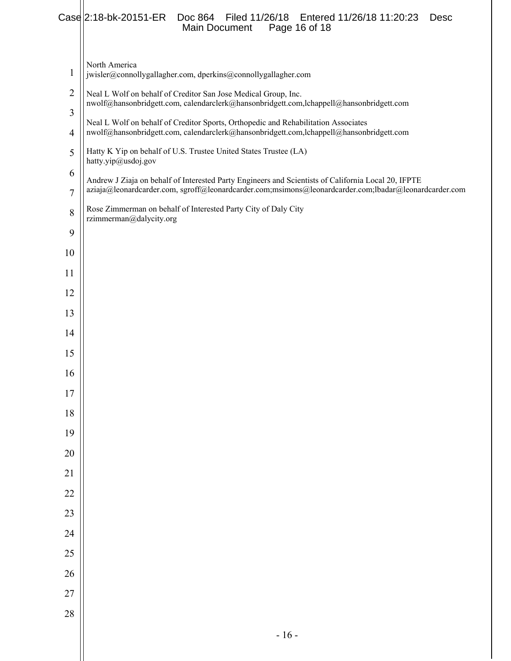#### Case 2:18-bk-20151-ER Doc 864 Filed 11/26/18 Entered 11/26/18 11:20:23 Desc<br>Main Document Page 16 of 18 Main Document

 North America jwisler@connollygallagher.com, dperkins@connollygallagher.com Neal L Wolf on behalf of Creditor San Jose Medical Group, Inc. nwolf@hansonbridgett.com, calendarclerk@hansonbridgett.com,lchappell@hansonbridgett.com Neal L Wolf on behalf of Creditor Sports, Orthopedic and Rehabilitation Associates nwolf@hansonbridgett.com, calendarclerk@hansonbridgett.com,lchappell@hansonbridgett.com Hatty K Yip on behalf of U.S. Trustee United States Trustee (LA) hatty.yip@usdoj.gov Andrew J Ziaja on behalf of Interested Party Engineers and Scientists of California Local 20, IFPTE aziaja@leonardcarder.com, sgroff@leonardcarder.com;msimons@leonardcarder.com;lbadar@leonardcarder.com Rose Zimmerman on behalf of Interested Party City of Daly City rzimmerman@dalycity.org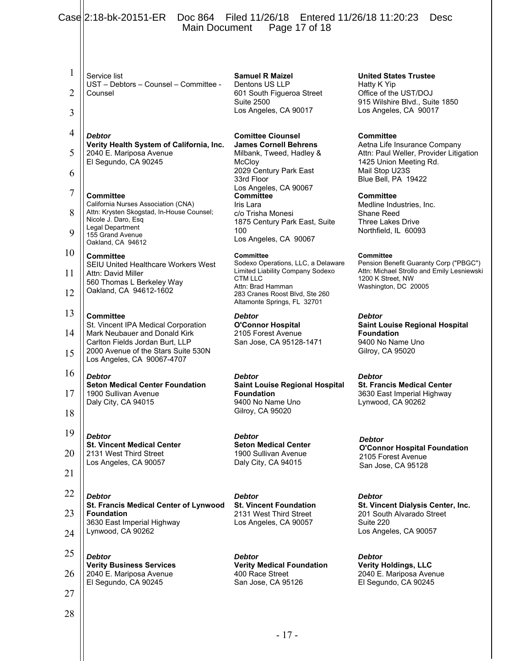|        | Case 2:18-bk-20151-ER<br>Doc 864 Filed 11/26/18 Entered 11/26/18 11:20:23<br><b>Desc</b><br>Page 17 of 18<br>Main Document |                                                                                    |                                                                                 |
|--------|----------------------------------------------------------------------------------------------------------------------------|------------------------------------------------------------------------------------|---------------------------------------------------------------------------------|
|        |                                                                                                                            |                                                                                    |                                                                                 |
| 1      | Service list                                                                                                               | <b>Samuel R Maizel</b>                                                             | <b>United States Trustee</b>                                                    |
| 2      | UST - Debtors - Counsel - Committee -<br>Counsel                                                                           | Dentons US LLP<br>601 South Figueroa Street                                        | Hatty K Yip<br>Office of the UST/DOJ                                            |
| 3      |                                                                                                                            | <b>Suite 2500</b><br>Los Angeles, CA 90017                                         | 915 Wilshire Blvd., Suite 1850<br>Los Angeles, CA 90017                         |
| 4      | <b>Debtor</b>                                                                                                              | <b>Comittee Ciounsel</b>                                                           | <b>Committee</b>                                                                |
| 5      | Verity Health System of California, Inc.<br>2040 E. Mariposa Avenue                                                        | <b>James Cornell Behrens</b><br>Milbank, Tweed, Hadley &                           | Aetna Life Insurance Company<br>Attn: Paul Weller, Provider Litigation          |
| 6      | El Segundo, CA 90245                                                                                                       | McCloy<br>2029 Century Park East<br>33rd Floor                                     | 1425 Union Meeting Rd.<br>Mail Stop U23S<br>Blue Bell, PA 19422                 |
| $\tau$ | <b>Committee</b>                                                                                                           | Los Angeles, CA 90067<br><b>Committee</b>                                          | <b>Committee</b>                                                                |
| 8      | California Nurses Association (CNA)<br>Attn: Krysten Skogstad, In-House Counsel;<br>Nicole J. Daro, Esq                    | Iris Lara<br>c/o Trisha Monesi<br>1875 Century Park East, Suite                    | Medline Industries, Inc.<br>Shane Reed<br><b>Three Lakes Drive</b>              |
| 9      | Legal Department<br>155 Grand Avenue<br>Oakland, CA 94612                                                                  | 100<br>Los Angeles, CA 90067                                                       | Northfield, IL 60093                                                            |
| 10     | <b>Committee</b>                                                                                                           | <b>Committee</b><br>Sodexo Operations, LLC, a Delaware                             | <b>Committee</b><br>Pension Benefit Guaranty Corp ("PBGC")                      |
| 11     | <b>SEIU United Healthcare Workers West</b><br>Attn: David Miller<br>560 Thomas L Berkeley Way                              | Limited Liability Company Sodexo<br><b>CTM LLC</b>                                 | Attn: Michael Strollo and Emily Lesniewski<br>1200 K Street, NW                 |
| 12     | Oakland, CA 94612-1602                                                                                                     | Attn: Brad Hamman<br>283 Cranes Roost Blvd, Ste 260<br>Altamonte Springs, FL 32701 | Washington, DC 20005                                                            |
| 13     | <b>Committee</b><br>St. Vincent IPA Medical Corporation                                                                    | <b>Debtor</b><br><b>O'Connor Hospital</b>                                          | <b>Debtor</b><br><b>Saint Louise Regional Hospital</b>                          |
| 14     | Mark Neubauer and Donald Kirk<br>Carlton Fields Jordan Burt, LLP                                                           | 2105 Forest Avenue<br>San Jose, CA 95128-1471                                      | <b>Foundation</b><br>9400 No Name Uno                                           |
| 15     | 2000 Avenue of the Stars Suite 530N<br>Los Angeles, CA 90067-4707                                                          |                                                                                    | Gilroy, CA 95020                                                                |
| 16     | <b>Debtor</b><br><b>Seton Medical Center Foundation</b>                                                                    | <b>Debtor</b><br><b>Saint Louise Regional Hospital</b>                             | Debtor<br><b>St. Francis Medical Center</b>                                     |
| 17     | 1900 Sullivan Avenue<br>Daly City, CA 94015                                                                                | <b>Foundation</b><br>9400 No Name Uno                                              | 3630 East Imperial Highway<br>Lynwood, CA 90262                                 |
| 18     |                                                                                                                            | Gilroy, CA 95020                                                                   |                                                                                 |
| 19     | <b>Debtor</b><br><b>St. Vincent Medical Center</b>                                                                         | <b>Debtor</b><br><b>Seton Medical Center</b>                                       | <b>Debtor</b>                                                                   |
| 20     | 2131 West Third Street<br>Los Angeles, CA 90057                                                                            | 1900 Sullivan Avenue<br>Daly City, CA 94015                                        | <b>O'Connor Hospital Foundation</b><br>2105 Forest Avenue<br>San Jose, CA 95128 |
| 21     |                                                                                                                            |                                                                                    |                                                                                 |
| 22     | <b>Debtor</b>                                                                                                              | <b>Debtor</b>                                                                      | <b>Debtor</b>                                                                   |
| 23     | St. Francis Medical Center of Lynwood<br><b>Foundation</b><br>3630 East Imperial Highway                                   | <b>St. Vincent Foundation</b><br>2131 West Third Street<br>Los Angeles, CA 90057   | St. Vincent Dialysis Center, Inc.<br>201 South Alvarado Street<br>Suite 220     |
| 24     | Lynwood, CA 90262                                                                                                          |                                                                                    | Los Angeles, CA 90057                                                           |
| 25     | <b>Debtor</b>                                                                                                              | <b>Debtor</b>                                                                      | <b>Debtor</b>                                                                   |
| 26     | <b>Verity Business Services</b><br>2040 E. Mariposa Avenue                                                                 | <b>Verity Medical Foundation</b><br>400 Race Street                                | <b>Verity Holdings, LLC</b><br>2040 E. Mariposa Avenue                          |
| 27     | El Segundo, CA 90245                                                                                                       | San Jose, CA 95126                                                                 | El Segundo, CA 90245                                                            |
| 28     |                                                                                                                            |                                                                                    |                                                                                 |